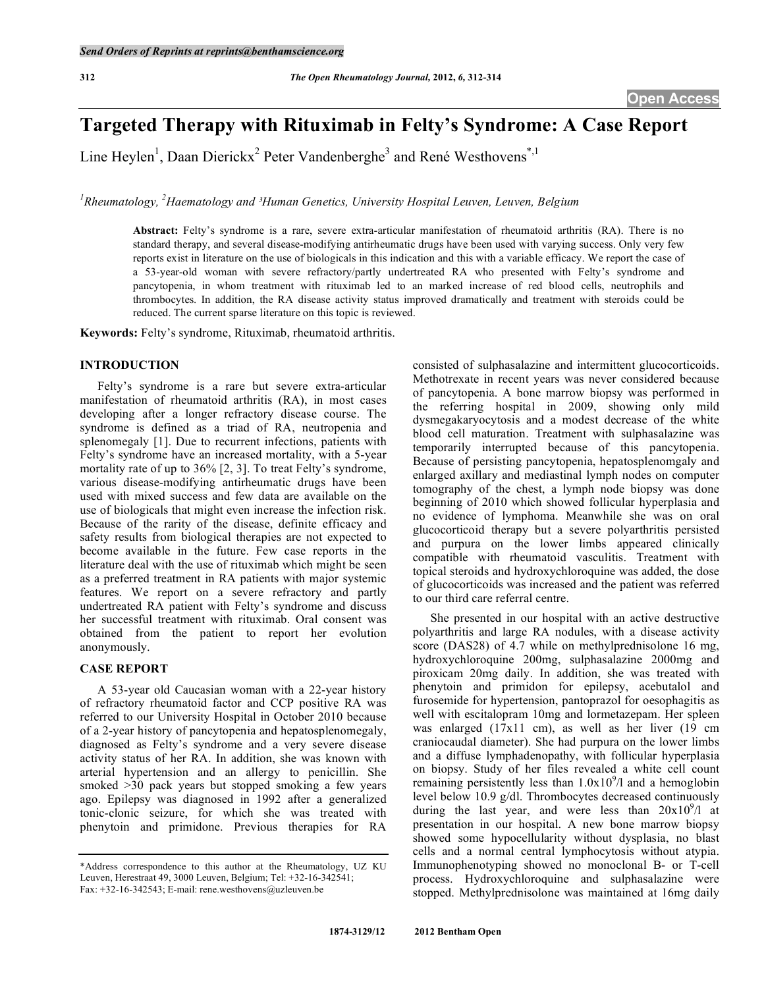# **Targeted Therapy with Rituximab in Felty's Syndrome: A Case Report**

Line Heylen<sup>1</sup>, Daan Dierickx<sup>2</sup> Peter Vandenberghe<sup>3</sup> and René Westhovens<sup>\*,1</sup>

<sup>1</sup> Rheumatology, <sup>2</sup> Haematology and <sup>3</sup> Human Genetics, University Hospital Leuven, Leuven, Belgium

**Abstract:** Felty's syndrome is a rare, severe extra-articular manifestation of rheumatoid arthritis (RA). There is no standard therapy, and several disease-modifying antirheumatic drugs have been used with varying success. Only very few reports exist in literature on the use of biologicals in this indication and this with a variable efficacy. We report the case of a 53-year-old woman with severe refractory/partly undertreated RA who presented with Felty's syndrome and pancytopenia, in whom treatment with rituximab led to an marked increase of red blood cells, neutrophils and thrombocytes. In addition, the RA disease activity status improved dramatically and treatment with steroids could be reduced. The current sparse literature on this topic is reviewed.

**Keywords:** Felty's syndrome, Rituximab, rheumatoid arthritis.

# **INTRODUCTION**

 Felty's syndrome is a rare but severe extra-articular manifestation of rheumatoid arthritis (RA), in most cases developing after a longer refractory disease course. The syndrome is defined as a triad of RA, neutropenia and splenomegaly [1]. Due to recurrent infections, patients with Felty's syndrome have an increased mortality, with a 5-year mortality rate of up to 36% [2, 3]. To treat Felty's syndrome, various disease-modifying antirheumatic drugs have been used with mixed success and few data are available on the use of biologicals that might even increase the infection risk. Because of the rarity of the disease, definite efficacy and safety results from biological therapies are not expected to become available in the future. Few case reports in the literature deal with the use of rituximab which might be seen as a preferred treatment in RA patients with major systemic features. We report on a severe refractory and partly undertreated RA patient with Felty's syndrome and discuss her successful treatment with rituximab. Oral consent was obtained from the patient to report her evolution anonymously.

### **CASE REPORT**

 A 53-year old Caucasian woman with a 22-year history of refractory rheumatoid factor and CCP positive RA was referred to our University Hospital in October 2010 because of a 2-year history of pancytopenia and hepatosplenomegaly, diagnosed as Felty's syndrome and a very severe disease activity status of her RA. In addition, she was known with arterial hypertension and an allergy to penicillin. She smoked >30 pack years but stopped smoking a few years ago. Epilepsy was diagnosed in 1992 after a generalized tonic-clonic seizure, for which she was treated with phenytoin and primidone. Previous therapies for RA

consisted of sulphasalazine and intermittent glucocorticoids. Methotrexate in recent years was never considered because of pancytopenia. A bone marrow biopsy was performed in the referring hospital in 2009, showing only mild dysmegakaryocytosis and a modest decrease of the white blood cell maturation. Treatment with sulphasalazine was temporarily interrupted because of this pancytopenia. Because of persisting pancytopenia, hepatosplenomgaly and enlarged axillary and mediastinal lymph nodes on computer tomography of the chest, a lymph node biopsy was done beginning of 2010 which showed follicular hyperplasia and no evidence of lymphoma. Meanwhile she was on oral glucocorticoid therapy but a severe polyarthritis persisted and purpura on the lower limbs appeared clinically compatible with rheumatoid vasculitis. Treatment with topical steroids and hydroxychloroquine was added, the dose of glucocorticoids was increased and the patient was referred to our third care referral centre.

 She presented in our hospital with an active destructive polyarthritis and large RA nodules, with a disease activity score (DAS28) of 4.7 while on methylprednisolone 16 mg, hydroxychloroquine 200mg, sulphasalazine 2000mg and piroxicam 20mg daily. In addition, she was treated with phenytoin and primidon for epilepsy, acebutalol and furosemide for hypertension, pantoprazol for oesophagitis as well with escitalopram 10mg and lormetazepam. Her spleen was enlarged (17x11 cm), as well as her liver (19 cm craniocaudal diameter). She had purpura on the lower limbs and a diffuse lymphadenopathy, with follicular hyperplasia on biopsy. Study of her files revealed a white cell count remaining persistently less than  $1.0 \times 10^9/1$  and a hemoglobin level below 10.9 g/dl. Thrombocytes decreased continuously during the last year, and were less than  $20x10^9/1$  at presentation in our hospital. A new bone marrow biopsy showed some hypocellularity without dysplasia, no blast cells and a normal central lymphocytosis without atypia. Immunophenotyping showed no monoclonal B- or T-cell process. Hydroxychloroquine and sulphasalazine were stopped. Methylprednisolone was maintained at 16mg daily

<sup>\*</sup>Address correspondence to this author at the Rheumatology, UZ KU Leuven, Herestraat 49, 3000 Leuven, Belgium; Tel: +32-16-342541; Fax: +32-16-342543; E-mail: rene.westhovens@uzleuven.be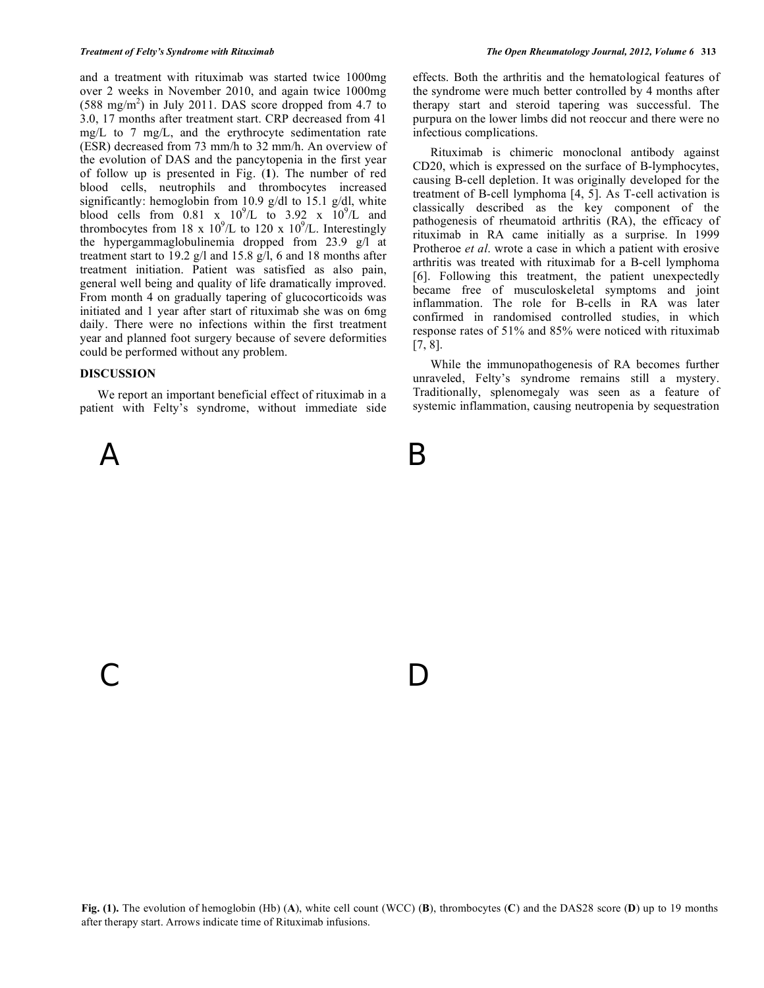and a treatment with rituximab was started twice 1000mg over 2 weeks in November 2010, and again twice 1000mg  $(588 \text{ mg/m}^2)$  in July 2011. DAS score dropped from 4.7 to 3.0, 17 months after treatment start. CRP decreased from 41 mg/L to 7 mg/L, and the erythrocyte sedimentation rate (ESR) decreased from 73 mm/h to 32 mm/h. An overview of the evolution of DAS and the pancytopenia in the first year of follow up is presented in Fig. (**1**). The number of red blood cells, neutrophils and thrombocytes increased significantly: hemoglobin from 10.9  $g/dl$  to 15.1  $g/dl$ , white blood cells from  $0.81 \times 10^9$ /L to  $3.92 \times 10^9$ /L and thrombocytes from 18 x  $10^9$ /L to 120 x  $10^9$ /L. Interestingly the hypergammaglobulinemia dropped from 23.9 g/l at treatment start to 19.2 g/l and 15.8 g/l, 6 and 18 months after treatment initiation. Patient was satisfied as also pain, general well being and quality of life dramatically improved. From month 4 on gradually tapering of glucocorticoids was initiated and 1 year after start of rituximab she was on 6mg daily. There were no infections within the first treatment year and planned foot surgery because of severe deformities could be performed without any problem.

### **DISCUSSION**

 We report an important beneficial effect of rituximab in a patient with Felty's syndrome, without immediate side

C D

 $\mathsf A$  B

effects. Both the arthritis and the hematological features of the syndrome were much better controlled by 4 months after therapy start and steroid tapering was successful. The purpura on the lower limbs did not reoccur and there were no infectious complications.

 Rituximab is chimeric monoclonal antibody against CD20, which is expressed on the surface of B-lymphocytes, causing B-cell depletion. It was originally developed for the treatment of B-cell lymphoma [4, 5]. As T-cell activation is classically described as the key component of the pathogenesis of rheumatoid arthritis (RA), the efficacy of rituximab in RA came initially as a surprise. In 1999 Protheroe *et al*. wrote a case in which a patient with erosive arthritis was treated with rituximab for a B-cell lymphoma [6]. Following this treatment, the patient unexpectedly became free of musculoskeletal symptoms and joint inflammation. The role for B-cells in RA was later confirmed in randomised controlled studies, in which response rates of 51% and 85% were noticed with rituximab [7, 8].

 While the immunopathogenesis of RA becomes further unraveled, Felty's syndrome remains still a mystery. Traditionally, splenomegaly was seen as a feature of systemic inflammation, causing neutropenia by sequestration